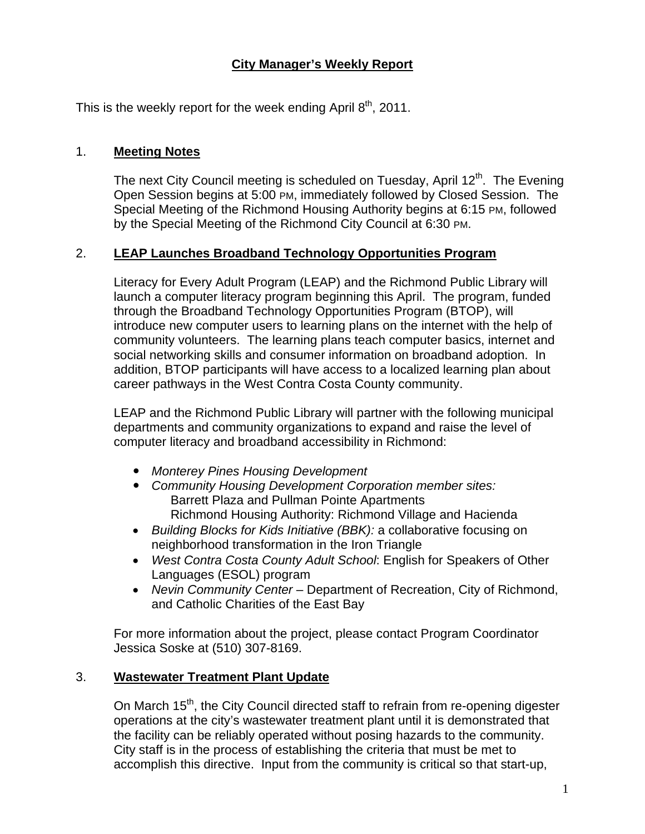## **City Manager's Weekly Report**

This is the weekly report for the week ending April  $8<sup>th</sup>$ , 2011.

#### 1. **Meeting Notes**

The next City Council meeting is scheduled on Tuesday, April 12<sup>th</sup>. The Evening Open Session begins at 5:00 PM, immediately followed by Closed Session. The Special Meeting of the Richmond Housing Authority begins at 6:15 PM, followed by the Special Meeting of the Richmond City Council at 6:30 PM.

### 2. **LEAP Launches Broadband Technology Opportunities Program**

Literacy for Every Adult Program (LEAP) and the Richmond Public Library will launch a computer literacy program beginning this April. The program, funded through the Broadband Technology Opportunities Program (BTOP), will introduce new computer users to learning plans on the internet with the help of community volunteers. The learning plans teach computer basics, internet and social networking skills and consumer information on broadband adoption. In addition, BTOP participants will have access to a localized learning plan about career pathways in the West Contra Costa County community.

LEAP and the Richmond Public Library will partner with the following municipal departments and community organizations to expand and raise the level of computer literacy and broadband accessibility in Richmond:

- *Monterey Pines Housing Development*
- *Community Housing Development Corporation member sites:*  Barrett Plaza and Pullman Pointe Apartments Richmond Housing Authority: Richmond Village and Hacienda
- *Building Blocks for Kids Initiative (BBK):* a collaborative focusing on neighborhood transformation in the Iron Triangle
- *West Contra Costa County Adult School*: English for Speakers of Other Languages (ESOL) program
- *Nevin Community Center* Department of Recreation, City of Richmond, and Catholic Charities of the East Bay

For more information about the project, please contact Program Coordinator Jessica Soske at (510) 307-8169.

### 3. **Wastewater Treatment Plant Update**

On March 15<sup>th</sup>, the City Council directed staff to refrain from re-opening digester operations at the city's wastewater treatment plant until it is demonstrated that the facility can be reliably operated without posing hazards to the community. City staff is in the process of establishing the criteria that must be met to accomplish this directive. Input from the community is critical so that start-up,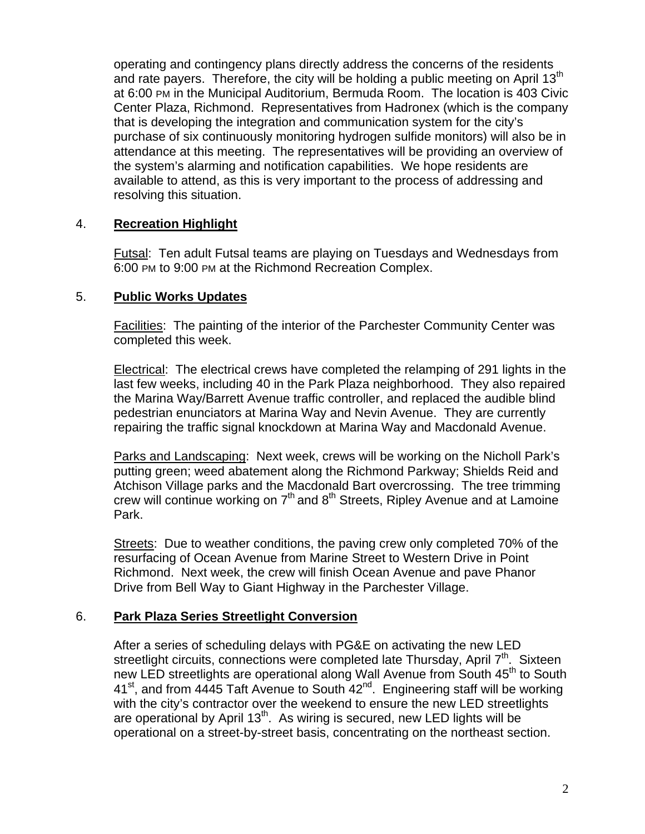operating and contingency plans directly address the concerns of the residents and rate payers. Therefore, the city will be holding a public meeting on April 13<sup>th</sup> at 6:00 PM in the Municipal Auditorium, Bermuda Room. The location is 403 Civic Center Plaza, Richmond. Representatives from Hadronex (which is the company that is developing the integration and communication system for the city's purchase of six continuously monitoring hydrogen sulfide monitors) will also be in attendance at this meeting. The representatives will be providing an overview of the system's alarming and notification capabilities. We hope residents are available to attend, as this is very important to the process of addressing and resolving this situation.

### 4. **Recreation Highlight**

Futsal: Ten adult Futsal teams are playing on Tuesdays and Wednesdays from 6:00 PM to 9:00 PM at the Richmond Recreation Complex.

#### 5. **Public Works Updates**

Facilities: The painting of the interior of the Parchester Community Center was completed this week.

Electrical: The electrical crews have completed the relamping of 291 lights in the last few weeks, including 40 in the Park Plaza neighborhood. They also repaired the Marina Way/Barrett Avenue traffic controller, and replaced the audible blind pedestrian enunciators at Marina Way and Nevin Avenue. They are currently repairing the traffic signal knockdown at Marina Way and Macdonald Avenue.

Parks and Landscaping: Next week, crews will be working on the Nicholl Park's putting green; weed abatement along the Richmond Parkway; Shields Reid and Atchison Village parks and the Macdonald Bart overcrossing. The tree trimming crew will continue working on  $7<sup>th</sup>$  and  $8<sup>th</sup>$  Streets, Ripley Avenue and at Lamoine Park.

Streets: Due to weather conditions, the paving crew only completed 70% of the resurfacing of Ocean Avenue from Marine Street to Western Drive in Point Richmond. Next week, the crew will finish Ocean Avenue and pave Phanor Drive from Bell Way to Giant Highway in the Parchester Village.

### 6. **Park Plaza Series Streetlight Conversion**

After a series of scheduling delays with PG&E on activating the new LED streetlight circuits, connections were completed late Thursday, April 7<sup>th</sup>. Sixteen new LED streetlights are operational along Wall Avenue from South 45<sup>th</sup> to South  $41<sup>st</sup>$ , and from 4445 Taft Avenue to South  $42<sup>nd</sup>$ . Engineering staff will be working with the city's contractor over the weekend to ensure the new LED streetlights are operational by April  $13<sup>th</sup>$ . As wiring is secured, new LED lights will be operational on a street-by-street basis, concentrating on the northeast section.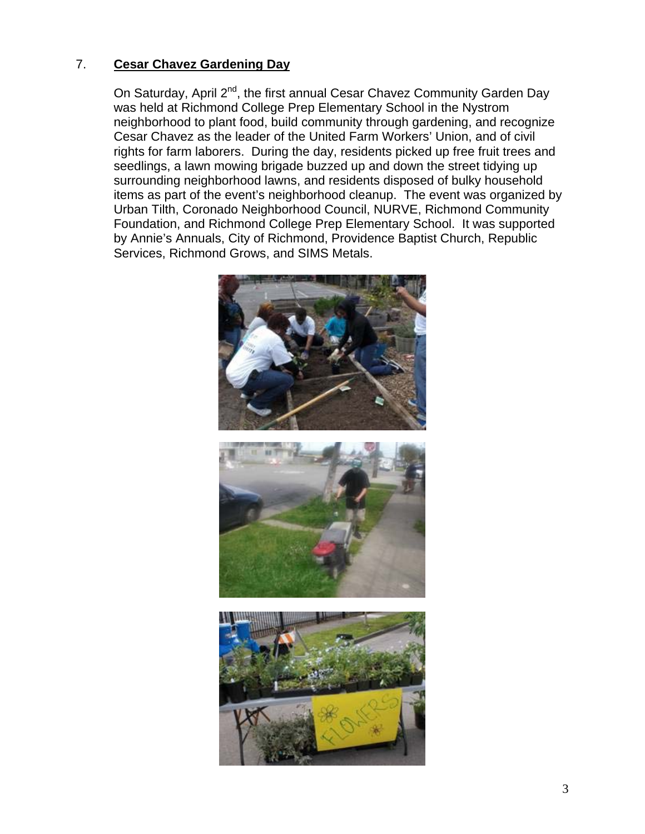## 7. **Cesar Chavez Gardening Day**

On Saturday, April 2<sup>nd</sup>, the first annual Cesar Chavez Community Garden Day was held at Richmond College Prep Elementary School in the Nystrom neighborhood to plant food, build community through gardening, and recognize Cesar Chavez as the leader of the United Farm Workers' Union, and of civil rights for farm laborers. During the day, residents picked up free fruit trees and seedlings, a lawn mowing brigade buzzed up and down the street tidying up surrounding neighborhood lawns, and residents disposed of bulky household items as part of the event's neighborhood cleanup. The event was organized by Urban Tilth, Coronado Neighborhood Council, NURVE, Richmond Community Foundation, and Richmond College Prep Elementary School. It was supported by Annie's Annuals, City of Richmond, Providence Baptist Church, Republic Services, Richmond Grows, and SIMS Metals.